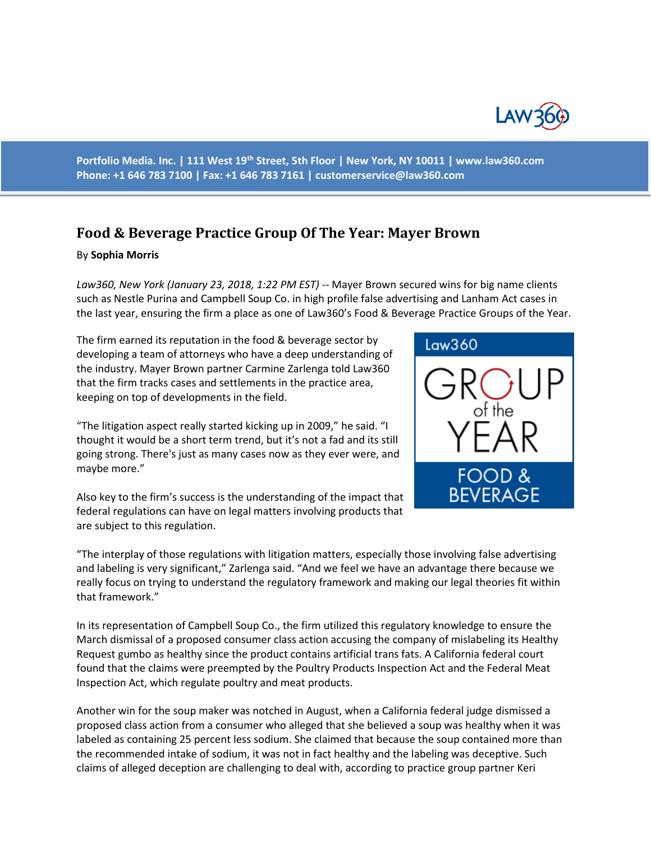

**Portfolio Media. Inc. | 111 West 19th Street, 5th Floor | New York, NY 10011 | www.law360.com Phone: +1 646 783 7100 | Fax: +1 646 783 7161 | [customerservice@law360.com](mailto:customerservice@law360.com)**

## **Food & Beverage Practice Group Of The Year: Mayer Brown**

## By **Sophia Morris**

*Law360, New York (January 23, 2018, 1:22 PM EST)* -- Mayer Brown secured wins for big name clients such as Nestle Purina and Campbell Soup Co. in high profile false advertising and Lanham Act cases in the last year, ensuring the firm a place as one of Law360's Food & Beverage Practice Groups of the Year.

The firm earned its reputation in the food & beverage sector by developing a team of attorneys who have a deep understanding of the industry. Mayer Brown partner Carmine Zarlenga told Law360 that the firm tracks cases and settlements in the practice area, keeping on top of developments in the field.

"The litigation aspect really started kicking up in 2009," he said. "I thought it would be a short term trend, but it's not a fad and its still going strong. There's just as many cases now as they ever were, and maybe more."

Also key to the firm's success is the understanding of the impact that federal regulations can have on legal matters involving products that are subject to this regulation.



"The interplay of those regulations with litigation matters, especially those involving false advertising and labeling is very significant," Zarlenga said. "And we feel we have an advantage there because we really focus on trying to understand the regulatory framework and making our legal theories fit within that framework."

In its representation of Campbell Soup Co., the firm utilized this regulatory knowledge to ensure the March dismissal of a proposed consumer class action accusing the company of mislabeling its Healthy Request gumbo as healthy since the product contains artificial trans fats. A California federal court found that the claims were preempted by the Poultry Products Inspection Act and the Federal Meat Inspection Act, which regulate poultry and meat products.

Another win for the soup maker was notched in August, when a California federal judge dismissed a proposed class action from a consumer who alleged that she believed a soup was healthy when it was labeled as containing 25 percent less sodium. She claimed that because the soup contained more than the recommended intake of sodium, it was not in fact healthy and the labeling was deceptive. Such claims of alleged deception are challenging to deal with, according to practice group partner Keri